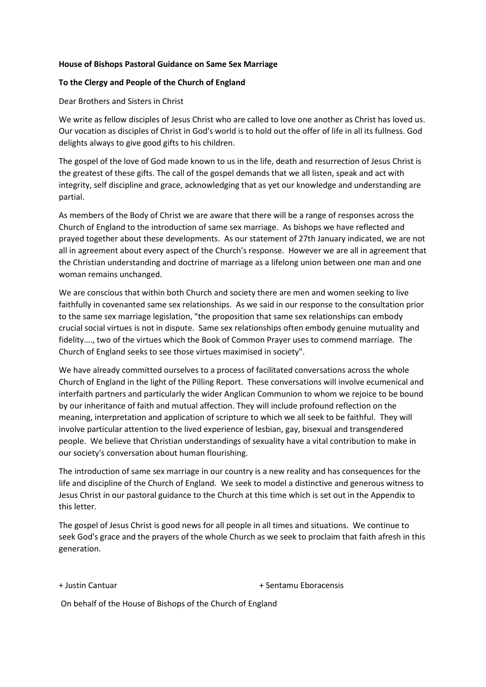### **House of Bishops Pastoral Guidance on Same Sex Marriage**

### **To the Clergy and People of the Church of England**

Dear Brothers and Sisters in Christ

We write as fellow disciples of Jesus Christ who are called to love one another as Christ has loved us. Our vocation as disciples of Christ in God's world is to hold out the offer of life in all its fullness. God delights always to give good gifts to his children.

The gospel of the love of God made known to us in the life, death and resurrection of Jesus Christ is the greatest of these gifts. The call of the gospel demands that we all listen, speak and act with integrity, self discipline and grace, acknowledging that as yet our knowledge and understanding are partial.

As members of the Body of Christ we are aware that there will be a range of responses across the Church of England to the introduction of same sex marriage. As bishops we have reflected and prayed together about these developments. As our statement of 27th January indicated, we are not all in agreement about every aspect of the Church's response. However we are all in agreement that the Christian understanding and doctrine of marriage as a lifelong union between one man and one woman remains unchanged.

We are conscious that within both Church and society there are men and women seeking to live faithfully in covenanted same sex relationships. As we said in our response to the consultation prior to the same sex marriage legislation, "the proposition that same sex relationships can embody crucial social virtues is not in dispute. Same sex relationships often embody genuine mutuality and fidelity…., two of the virtues which the Book of Common Prayer uses to commend marriage. The Church of England seeks to see those virtues maximised in society".

We have already committed ourselves to a process of facilitated conversations across the whole Church of England in the light of the Pilling Report. These conversations will involve ecumenical and interfaith partners and particularly the wider Anglican Communion to whom we rejoice to be bound by our inheritance of faith and mutual affection. They will include profound reflection on the meaning, interpretation and application of scripture to which we all seek to be faithful. They will involve particular attention to the lived experience of lesbian, gay, bisexual and transgendered people. We believe that Christian understandings of sexuality have a vital contribution to make in our society's conversation about human flourishing.

The introduction of same sex marriage in our country is a new reality and has consequences for the life and discipline of the Church of England. We seek to model a distinctive and generous witness to Jesus Christ in our pastoral guidance to the Church at this time which is set out in the Appendix to this letter.

The gospel of Jesus Christ is good news for all people in all times and situations. We continue to seek God's grace and the prayers of the whole Church as we seek to proclaim that faith afresh in this generation.

+ Justin Cantuar + Sentamu Eboracensis

On behalf of the House of Bishops of the Church of England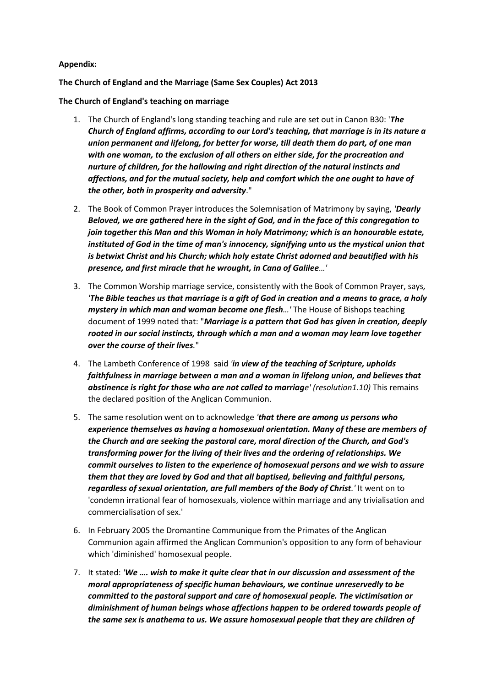### **Appendix:**

### **The Church of England and the Marriage (Same Sex Couples) Act 2013**

**The Church of England's teaching on marriage**

- 1. The Church of England's long standing teaching and rule are set out in Canon B30: '*The Church of England affirms, according to our Lord's teaching, that marriage is in its nature a union permanent and lifelong, for better for worse, till death them do part, of one man with one woman, to the exclusion of all others on either side, for the procreation and nurture of children, for the hallowing and right direction of the natural instincts and affections, and for the mutual society, help and comfort which the one ought to have of the other, both in prosperity and adversity*."
- 2. The Book of Common Prayer introduces the Solemnisation of Matrimony by saying, *'Dearly Beloved, we are gathered here in the sight of God, and in the face of this congregation to join together this Man and this Woman in holy Matrimony; which is an honourable estate, instituted of God in the time of man's innocency, signifying unto us the mystical union that is betwixt Christ and his Church; which holy estate Christ adorned and beautified with his presence, and first miracle that he wrought, in Cana of Galilee…'*
- 3. The Common Worship marriage service, consistently with the Book of Common Prayer, says*, 'The Bible teaches us that marriage is a gift of God in creation and a means to grace, a holy mystery in which man and woman become one flesh…'* The House of Bishops teaching document of 1999 noted that: "*Marriage is a pattern that God has given in creation, deeply rooted in our social instincts, through which a man and a woman may learn love together over the course of their lives.*"
- 4. The Lambeth Conference of 1998 said *'in view of the teaching of Scripture, upholds faithfulness in marriage between a man and a woman in lifelong union, and believes that abstinence is right for those who are not called to marriage' (resolution1.10)* This remains the declared position of the Anglican Communion.
- 5. The same resolution went on to acknowledge *'that there are among us persons who experience themselves as having a homosexual orientation. Many of these are members of the Church and are seeking the pastoral care, moral direction of the Church, and God's transforming power for the living of their lives and the ordering of relationships. We commit ourselves to listen to the experience of homosexual persons and we wish to assure them that they are loved by God and that all baptised, believing and faithful persons, regardless of sexual orientation, are full members of the Body of Christ.'* It went on to 'condemn irrational fear of homosexuals, violence within marriage and any trivialisation and commercialisation of sex.'
- 6. In February 2005 the Dromantine Communique from the Primates of the Anglican Communion again affirmed the Anglican Communion's opposition to any form of behaviour which 'diminished' homosexual people.
- 7. It stated: *'We …. wish to make it quite clear that in our discussion and assessment of the moral appropriateness of specific human behaviours, we continue unreservedly to be committed to the pastoral support and care of homosexual people. The victimisation or diminishment of human beings whose affections happen to be ordered towards people of the same sex is anathema to us. We assure homosexual people that they are children of*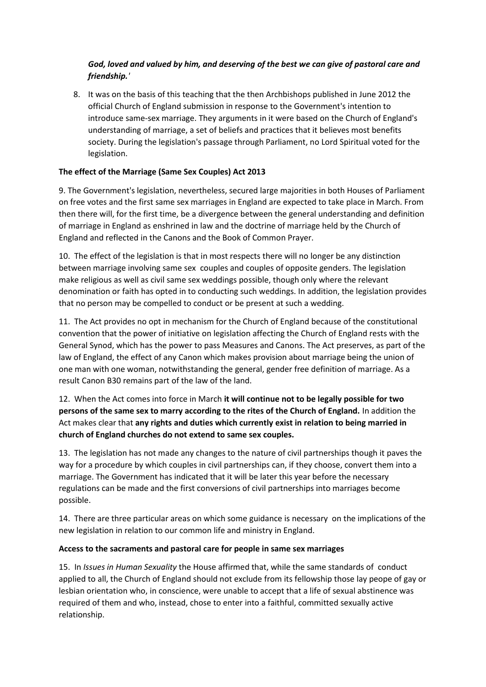# *God, loved and valued by him, and deserving of the best we can give of pastoral care and friendship.'*

8. It was on the basis of this teaching that the then Archbishops published in June 2012 the official Church of England submission in response to the Government's intention to introduce same-sex marriage. They arguments in it were based on the Church of England's understanding of marriage, a set of beliefs and practices that it believes most benefits society. During the legislation's passage through Parliament, no Lord Spiritual voted for the legislation.

## **The effect of the Marriage (Same Sex Couples) Act 2013**

9. The Government's legislation, nevertheless, secured large majorities in both Houses of Parliament on free votes and the first same sex marriages in England are expected to take place in March. From then there will, for the first time, be a divergence between the general understanding and definition of marriage in England as enshrined in law and the doctrine of marriage held by the Church of England and reflected in the Canons and the Book of Common Prayer.

10. The effect of the legislation is that in most respects there will no longer be any distinction between marriage involving same sex couples and couples of opposite genders. The legislation make religious as well as civil same sex weddings possible, though only where the relevant denomination or faith has opted in to conducting such weddings. In addition, the legislation provides that no person may be compelled to conduct or be present at such a wedding.

11. The Act provides no opt in mechanism for the Church of England because of the constitutional convention that the power of initiative on legislation affecting the Church of England rests with the General Synod, which has the power to pass Measures and Canons. The Act preserves, as part of the law of England, the effect of any Canon which makes provision about marriage being the union of one man with one woman, notwithstanding the general, gender free definition of marriage. As a result Canon B30 remains part of the law of the land.

# 12. When the Act comes into force in March **it will continue not to be legally possible for two persons of the same sex to marry according to the rites of the Church of England.** In addition the Act makes clear that **any rights and duties which currently exist in relation to being married in church of England churches do not extend to same sex couples.**

13. The legislation has not made any changes to the nature of civil partnerships though it paves the way for a procedure by which couples in civil partnerships can, if they choose, convert them into a marriage. The Government has indicated that it will be later this year before the necessary regulations can be made and the first conversions of civil partnerships into marriages become possible.

14. There are three particular areas on which some guidance is necessary on the implications of the new legislation in relation to our common life and ministry in England.

## **Access to the sacraments and pastoral care for people in same sex marriages**

15. In *Issues in Human Sexuality* the House affirmed that, while the same standards of conduct applied to all, the Church of England should not exclude from its fellowship those lay peope of gay or lesbian orientation who, in conscience, were unable to accept that a life of sexual abstinence was required of them and who, instead, chose to enter into a faithful, committed sexually active relationship.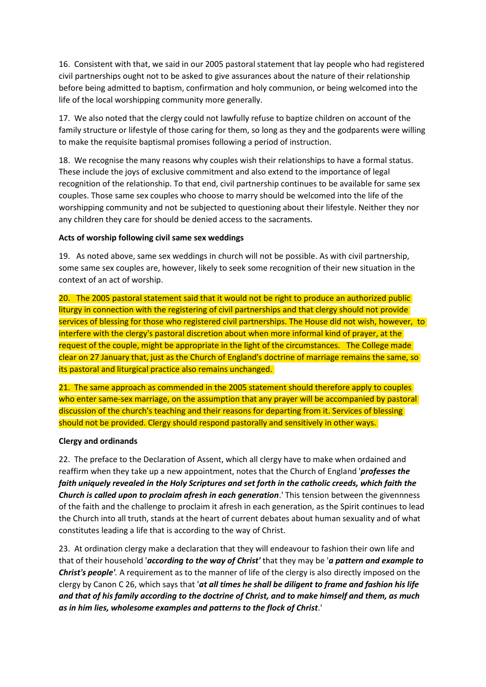16. Consistent with that, we said in our 2005 pastoral statement that lay people who had registered civil partnerships ought not to be asked to give assurances about the nature of their relationship before being admitted to baptism, confirmation and holy communion, or being welcomed into the life of the local worshipping community more generally.

17. We also noted that the clergy could not lawfully refuse to baptize children on account of the family structure or lifestyle of those caring for them, so long as they and the godparents were willing to make the requisite baptismal promises following a period of instruction.

18. We recognise the many reasons why couples wish their relationships to have a formal status. These include the joys of exclusive commitment and also extend to the importance of legal recognition of the relationship. To that end, civil partnership continues to be available for same sex couples. Those same sex couples who choose to marry should be welcomed into the life of the worshipping community and not be subjected to questioning about their lifestyle. Neither they nor any children they care for should be denied access to the sacraments.

### **Acts of worship following civil same sex weddings**

19. As noted above, same sex weddings in church will not be possible. As with civil partnership, some same sex couples are, however, likely to seek some recognition of their new situation in the context of an act of worship.

20. The 2005 pastoral statement said that it would not be right to produce an authorized public liturgy in connection with the registering of civil partnerships and that clergy should not provide services of blessing for those who registered civil partnerships. The House did not wish, however, to interfere with the clergy's pastoral discretion about when more informal kind of prayer, at the request of the couple, might be appropriate in the light of the circumstances. The College made clear on 27 January that, just as the Church of England's doctrine of marriage remains the same, so its pastoral and liturgical practice also remains unchanged.

21. The same approach as commended in the 2005 statement should therefore apply to couples who enter same-sex marriage, on the assumption that any prayer will be accompanied by pastoral discussion of the church's teaching and their reasons for departing from it. Services of blessing should not be provided. Clergy should respond pastorally and sensitively in other ways.

### **Clergy and ordinands**

22. The preface to the Declaration of Assent, which all clergy have to make when ordained and reaffirm when they take up a new appointment, notes that the Church of England '*professes the faith uniquely revealed in the Holy Scriptures and set forth in the catholic creeds, which faith the Church is called upon to proclaim afresh in each generation*.' This tension between the givennness of the faith and the challenge to proclaim it afresh in each generation, as the Spirit continues to lead the Church into all truth, stands at the heart of current debates about human sexuality and of what constitutes leading a life that is according to the way of Christ.

23. At ordination clergy make a declaration that they will endeavour to fashion their own life and that of their household '*according to the way of Christ'* that they may be '*a pattern and example to Christ's people'.* A requirement as to the manner of life of the clergy is also directly imposed on the clergy by Canon C 26, which says that '*at all times he shall be diligent to frame and fashion his life and that of his family according to the doctrine of Christ, and to make himself and them, as much as in him lies, wholesome examples and patterns to the flock of Christ*.'